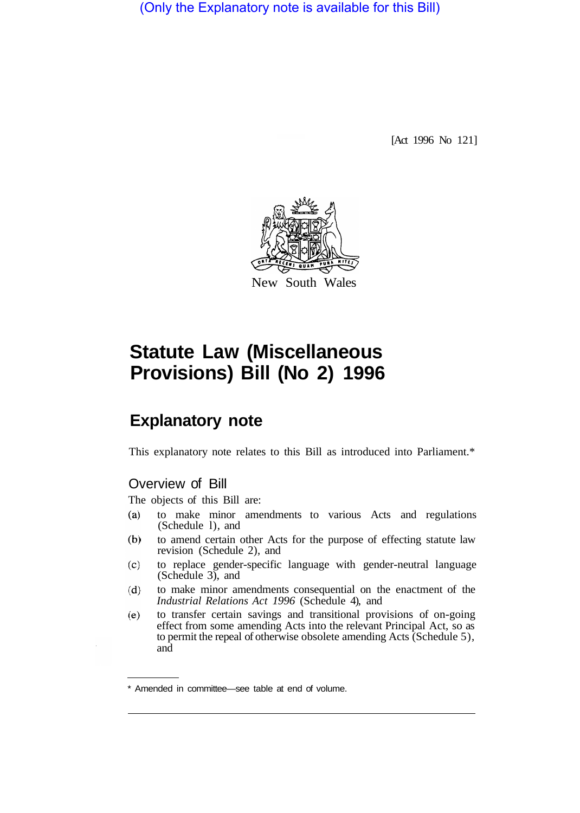(Only the Explanatory note is available for this Bill)

[Act 1996 No 121]



# **Statute Law (Miscellaneous Provisions) Bill (No 2) 1996**

# **Explanatory note**

This explanatory note relates to this Bill as introduced into Parliament.\*

# Overview of Bill

The objects of this Bill are:

- $(a)$ to make minor amendments to various Acts and regulations (Schedule l), and
- $(b)$ to amend certain other Acts for the purpose of effecting statute law revision (Schedule 2), and
- to replace gender-specific language with gender-neutral language  $(c)$ (Schedule 3), and
- $(d)$ to make minor amendments consequential on the enactment of the *Industrial Relations Act 1996* (Schedule 4), and
- to transfer certain savings and transitional provisions of on-going  $(e)$ effect from some amending Acts into the relevant Principal Act, so as to permit the repeal of otherwise obsolete amending Acts (Schedule 5), and

<sup>\*</sup> Amended in committee—see table at end of volume.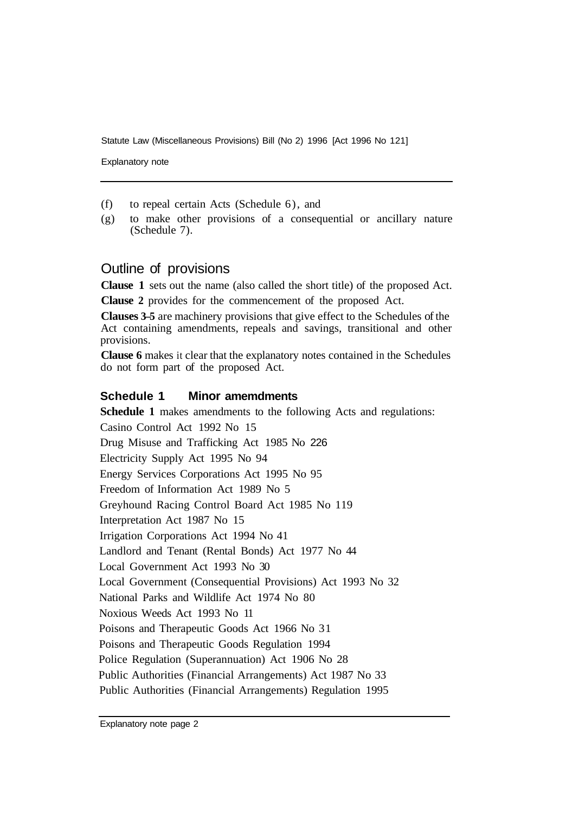Explanatory note

- (f) to repeal certain Acts (Schedule 6), and
- (g) to make other provisions of a consequential or ancillary nature (Schedule 7).

#### Outline of provisions

**Clause 1** sets out the name (also called the short title) of the proposed Act.

**Clause 2** provides for the commencement of the proposed Act.

**Clauses 3–5** are machinery provisions that give effect to the Schedules of the Act containing amendments, repeals and savings, transitional and other provisions.

**Clause 6** makes it clear that the explanatory notes contained in the Schedules do not form part of the proposed Act.

#### **Schedule 1 Minor amemdments**

**Schedule 1** makes amendments to the following Acts and regulations: Casino Control Act 1992 No 15 Drug Misuse and Trafficking Act 1985 No 226 Electricity Supply Act 1995 No 94 Energy Services Corporations Act 1995 No 95 Freedom of Information Act 1989 No 5 Greyhound Racing Control Board Act 1985 No 119 Interpretation Act 1987 No 15 Irrigation Corporations Act 1994 No 41 Landlord and Tenant (Rental Bonds) Act 1977 No 44 Local Government Act 1993 No 30 Local Government (Consequential Provisions) Act 1993 No 32 National Parks and Wildlife Act 1974 No 80 Noxious Weeds Act 1993 No 11 Poisons and Therapeutic Goods Act 1966 No 31 Poisons and Therapeutic Goods Regulation 1994 Police Regulation (Superannuation) Act 1906 No 28 Public Authorities (Financial Arrangements) Act 1987 No 33 Public Authorities (Financial Arrangements) Regulation 1995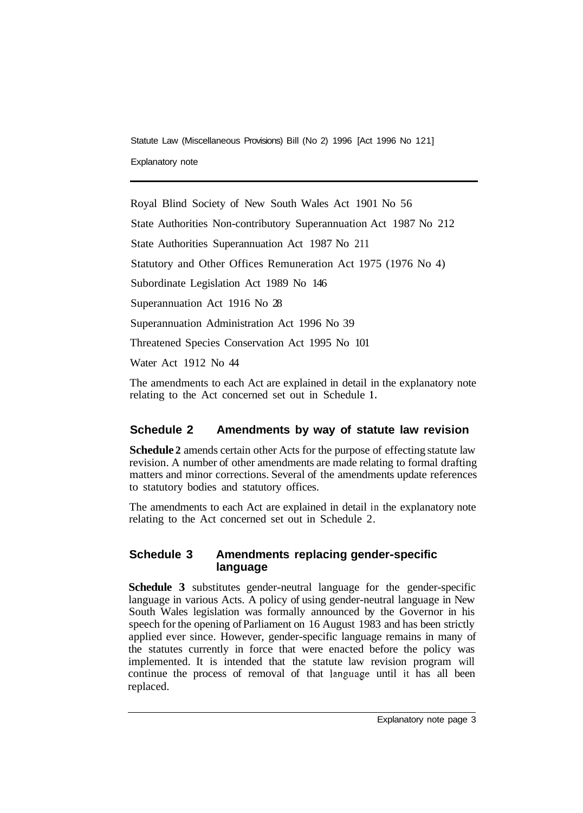Explanatory note

Royal Blind Society of New South Wales Act 1901 No 56 State Authorities Non-contributory Superannuation Act 1987 No 212 State Authorities Superannuation Act 1987 No 211 Statutory and Other Offices Remuneration Act 1975 (1976 No 4) Subordinate Legislation Act 1989 No 146 Superannuation Act 1916 No 28 Superannuation Administration Act 1996 No 39 Threatened Species Conservation Act 1995 No 101 Water Act 1912 No 44

The amendments to each Act are explained in detail in the explanatory note relating to the Act concerned set out in Schedule **1.** 

# **Schedule 2 Amendments by way of statute law revision**

**Schedule 2** amends certain other Acts for the purpose of effecting statute law revision. A number of other amendments are made relating to formal drafting matters and minor corrections. Several of the amendments update references to statutory bodies and statutory offices.

The amendments to each Act are explained in detail in the explanatory note relating to the Act concerned set out in Schedule 2.

#### **Schedule 3 Amendments replacing gender-specific language**

**Schedule 3** substitutes gender-neutral language for the gender-specific language in various Acts. A policy of using gender-neutral language in New South Wales legislation was formally announced by the Governor in his speech for the opening of Parliament on 16 August 1983 and has been strictly applied ever since. However, gender-specific language remains in many of the statutes currently in force that were enacted before the policy was implemented. It is intended that the statute law revision program will continue the process of removal of that language until it has all been replaced.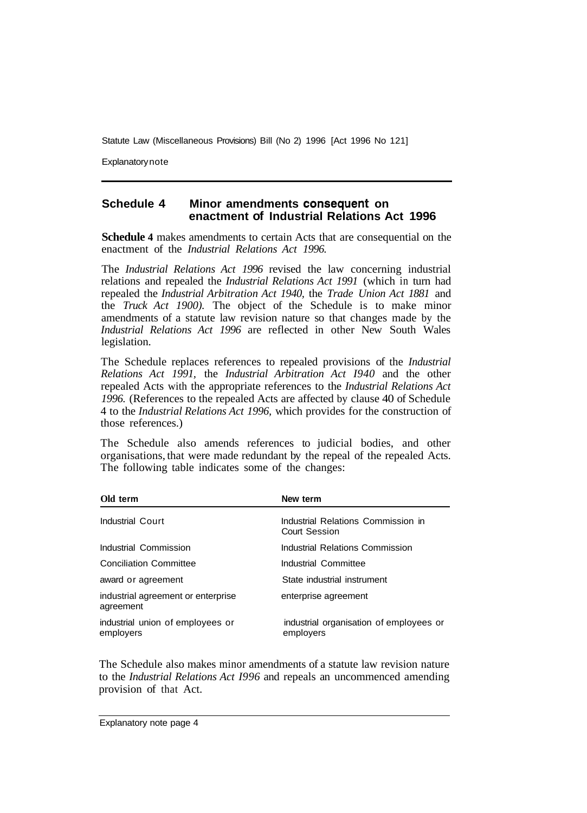**Explanatory note** 

#### **Schedule 4 Minor amendments consequent on enactment of Industrial Relations Act 1996**

**Schedule 4** makes amendments to certain Acts that are consequential on the enactment of the *Industrial Relations Act 1996.* 

The *Industrial Relations Act 1996* revised the law concerning industrial relations and repealed the *Industrial Relations Act 1991* (which in turn had repealed the *Industrial Arbitration Act 1940,* the *Trade Union Act 1881* and the *Truck Act 1900).* The object of the Schedule is to make minor amendments of a statute law revision nature so that changes made by the *Industrial Relations Act 1996* are reflected in other New South Wales legislation.

The Schedule replaces references to repealed provisions of the *Industrial Relations Act 1991,* the *Industrial Arbitration Act I940* and the other repealed Acts with the appropriate references to the *Industrial Relations Act 1996.* (References to the repealed Acts are affected by clause 40 of Schedule 4 to the *Industrial Relations Act 1996,* which provides for the construction of those references.)

The Schedule also amends references to judicial bodies, and other organisations, that were made redundant by the repeal of the repealed Acts. The following table indicates some of the changes:

| Old term                                        | New term                                                   |
|-------------------------------------------------|------------------------------------------------------------|
| Industrial Court                                | Industrial Relations Commission in<br><b>Court Session</b> |
| Industrial Commission                           | Industrial Relations Commission                            |
| <b>Conciliation Committee</b>                   | Industrial Committee                                       |
| award or agreement                              | State industrial instrument                                |
| industrial agreement or enterprise<br>agreement | enterprise agreement                                       |
| industrial union of employees or<br>employers   | industrial organisation of employees or<br>employers       |

The Schedule also makes minor amendments of a statute law revision nature to the *Industrial Relations Act I996* and repeals an uncommenced amending provision of that Act.

Explanatory note page 4